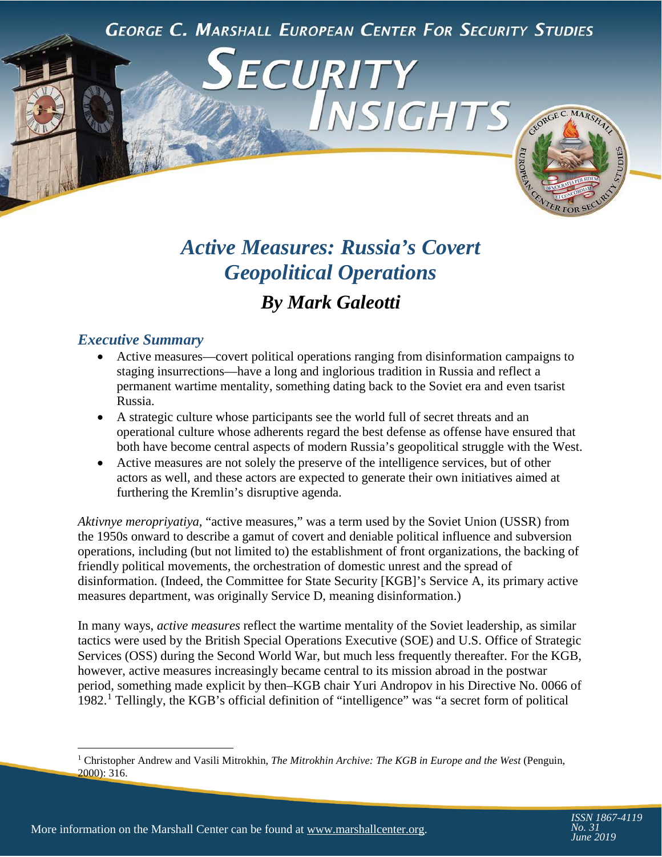**GEORGE C. MARSHALL EUROPEAN CENTER FOR SECURITY STUDIES** 

ECURITY



# *Active Measures: Russia's Covert Geopolitical Operations By Mark Galeotti*

# *Executive Summary*

- Active measures—covert political operations ranging from disinformation campaigns to staging insurrections—have a long and inglorious tradition in Russia and reflect a permanent wartime mentality, something dating back to the Soviet era and even tsarist Russia.
- A strategic culture whose participants see the world full of secret threats and an operational culture whose adherents regard the best defense as offense have ensured that both have become central aspects of modern Russia's geopolitical struggle with the West.
- Active measures are not solely the preserve of the intelligence services, but of other actors as well, and these actors are expected to generate their own initiatives aimed at furthering the Kremlin's disruptive agenda.

*Aktivnye meropriyatiya,* "active measures," was a term used by the Soviet Union (USSR) from the 1950s onward to describe a gamut of covert and deniable political influence and subversion operations, including (but not limited to) the establishment of front organizations, the backing of friendly political movements, the orchestration of domestic unrest and the spread of disinformation. (Indeed, the Committee for State Security [KGB]'s Service A, its primary active measures department, was originally Service D, meaning disinformation.)

In many ways, *active measures* reflect the wartime mentality of the Soviet leadership, as similar tactics were used by the British Special Operations Executive (SOE) and U.S. Office of Strategic Services (OSS) during the Second World War, but much less frequently thereafter. For the KGB, however, active measures increasingly became central to its mission abroad in the postwar period, something made explicit by then–KGB chair Yuri Andropov in his Directive No. 0066 of 1982.[1](#page-0-0) Tellingly, the KGB's official definition of "intelligence" was "a secret form of political

<span id="page-0-0"></span>l <sup>1</sup> Christopher Andrew and Vasili Mitrokhin, *The Mitrokhin Archive: The KGB in Europe and the West* (Penguin, 2000): 316.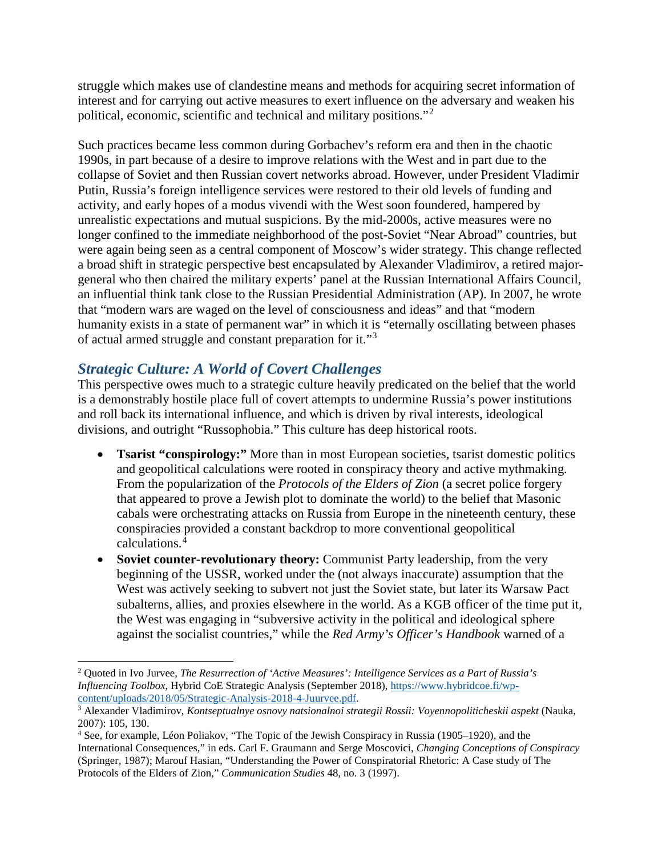struggle which makes use of clandestine means and methods for acquiring secret information of interest and for carrying out active measures to exert influence on the adversary and weaken his political, economic, scientific and technical and military positions."[2](#page-1-0)

Such practices became less common during Gorbachev's reform era and then in the chaotic 1990s, in part because of a desire to improve relations with the West and in part due to the collapse of Soviet and then Russian covert networks abroad. However, under President Vladimir Putin, Russia's foreign intelligence services were restored to their old levels of funding and activity, and early hopes of a modus vivendi with the West soon foundered, hampered by unrealistic expectations and mutual suspicions. By the mid-2000s, active measures were no longer confined to the immediate neighborhood of the post-Soviet "Near Abroad" countries, but were again being seen as a central component of Moscow's wider strategy. This change reflected a broad shift in strategic perspective best encapsulated by Alexander Vladimirov, a retired majorgeneral who then chaired the military experts' panel at the Russian International Affairs Council, an influential think tank close to the Russian Presidential Administration (AP). In 2007, he wrote that "modern wars are waged on the level of consciousness and ideas" and that "modern humanity exists in a state of permanent war" in which it is "eternally oscillating between phases of actual armed struggle and constant preparation for it."[3](#page-1-1)

# *Strategic Culture: A World of Covert Challenges*

This perspective owes much to a strategic culture heavily predicated on the belief that the world is a demonstrably hostile place full of covert attempts to undermine Russia's power institutions and roll back its international influence, and which is driven by rival interests, ideological divisions, and outright "Russophobia." This culture has deep historical roots.

- **Tsarist "conspirology:"** More than in most European societies, tsarist domestic politics and geopolitical calculations were rooted in conspiracy theory and active mythmaking. From the popularization of the *Protocols of the Elders of Zion* (a secret police forgery that appeared to prove a Jewish plot to dominate the world) to the belief that Masonic cabals were orchestrating attacks on Russia from Europe in the nineteenth century, these conspiracies provided a constant backdrop to more conventional geopolitical calculations.[4](#page-1-2)
- **Soviet counter-revolutionary theory:** Communist Party leadership, from the very beginning of the USSR, worked under the (not always inaccurate) assumption that the West was actively seeking to subvert not just the Soviet state, but later its Warsaw Pact subalterns, allies, and proxies elsewhere in the world. As a KGB officer of the time put it, the West was engaging in "subversive activity in the political and ideological sphere against the socialist countries," while the *Red Army's Officer's Handbook* warned of a

<span id="page-1-0"></span>l <sup>2</sup> Quoted in Ivo Jurvee, *The Resurrection of 'Active Measures': Intelligence Services as a Part of Russia's Influencing Toolbox*, Hybrid CoE Strategic Analysis (September 2018), [https://www.hybridcoe.fi/wp](https://www.hybridcoe.fi/wp-content/uploads/2018/05/Strategic-Analysis-2018-4-Juurvee.pdf)[content/uploads/2018/05/Strategic-Analysis-2018-4-Juurvee.pdf.](https://www.hybridcoe.fi/wp-content/uploads/2018/05/Strategic-Analysis-2018-4-Juurvee.pdf)

<span id="page-1-1"></span><sup>3</sup> Alexander Vladimirov, *Kontseptualnye osnovy natsionalnoi strategii Rossii: Voyennopoliticheskii aspekt* (Nauka, 2007): 105, 130.

<span id="page-1-2"></span><sup>4</sup> See, for example, Léon Poliakov, "The Topic of the Jewish Conspiracy in Russia (1905–1920), and the International Consequences," in eds. Carl F. Graumann and Serge Moscovici, *Changing Conceptions of Conspiracy* (Springer, 1987); Marouf Hasian, "Understanding the Power of Conspiratorial Rhetoric: A Case study of The Protocols of the Elders of Zion," *Communication Studies* 48, no. 3 (1997).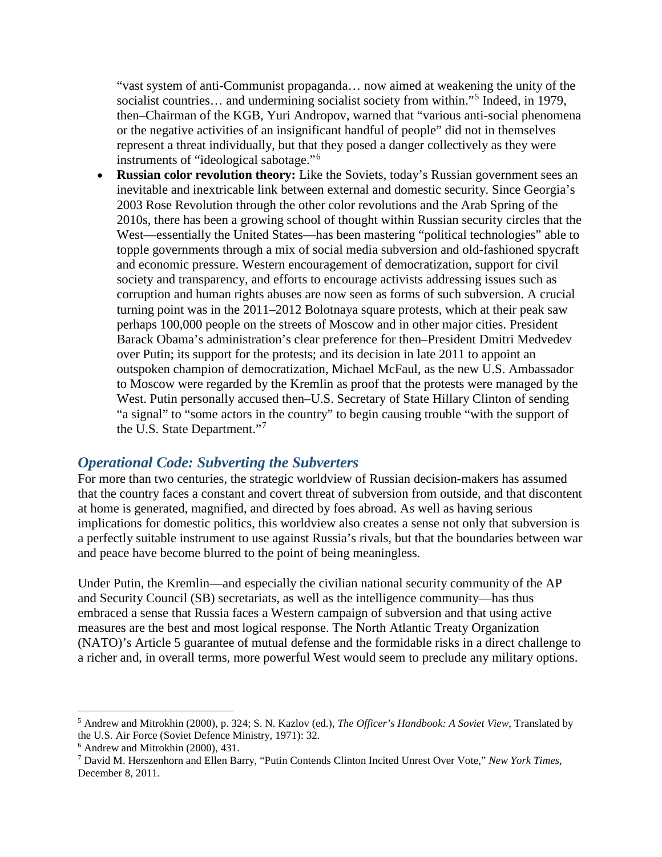"vast system of anti-Communist propaganda… now aimed at weakening the unity of the socialist countries... and undermining socialist society from within."<sup>[5](#page-2-0)</sup> Indeed, in 1979, then–Chairman of the KGB, Yuri Andropov, warned that "various anti-social phenomena or the negative activities of an insignificant handful of people" did not in themselves represent a threat individually, but that they posed a danger collectively as they were instruments of "ideological sabotage."[6](#page-2-1)

• **Russian color revolution theory:** Like the Soviets, today's Russian government sees an inevitable and inextricable link between external and domestic security. Since Georgia's 2003 Rose Revolution through the other color revolutions and the Arab Spring of the 2010s, there has been a growing school of thought within Russian security circles that the West—essentially the United States—has been mastering "political technologies" able to topple governments through a mix of social media subversion and old-fashioned spycraft and economic pressure. Western encouragement of democratization, support for civil society and transparency, and efforts to encourage activists addressing issues such as corruption and human rights abuses are now seen as forms of such subversion. A crucial turning point was in the 2011–2012 Bolotnaya square protests, which at their peak saw perhaps 100,000 people on the streets of Moscow and in other major cities. President Barack Obama's administration's clear preference for then–President Dmitri Medvedev over Putin; its support for the protests; and its decision in late 2011 to appoint an outspoken champion of democratization, Michael McFaul, as the new U.S. Ambassador to Moscow were regarded by the Kremlin as proof that the protests were managed by the West. Putin personally accused then–U.S. Secretary of State Hillary Clinton of sending "a signal" to "some actors in the country" to begin causing trouble "with the support of the U.S. State Department."[7](#page-2-2)

#### *Operational Code: Subverting the Subverters*

For more than two centuries, the strategic worldview of Russian decision-makers has assumed that the country faces a constant and covert threat of subversion from outside, and that discontent at home is generated, magnified, and directed by foes abroad. As well as having serious implications for domestic politics, this worldview also creates a sense not only that subversion is a perfectly suitable instrument to use against Russia's rivals, but that the boundaries between war and peace have become blurred to the point of being meaningless.

Under Putin, the Kremlin—and especially the civilian national security community of the AP and Security Council (SB) secretariats, as well as the intelligence community—has thus embraced a sense that Russia faces a Western campaign of subversion and that using active measures are the best and most logical response. The North Atlantic Treaty Organization (NATO)'s Article 5 guarantee of mutual defense and the formidable risks in a direct challenge to a richer and, in overall terms, more powerful West would seem to preclude any military options.

 $\overline{\phantom{a}}$ 

<span id="page-2-0"></span><sup>5</sup> Andrew and Mitrokhin (2000), p. 324; S. N. Kazlov (ed.), *The Officer's Handbook: A Soviet View*, Translated by the U.S. Air Force (Soviet Defence Ministry, 1971): 32.

<span id="page-2-1"></span><sup>6</sup> Andrew and Mitrokhin (2000), 431.

<span id="page-2-2"></span><sup>7</sup> David M. Herszenhorn and Ellen Barry, "Putin Contends Clinton Incited Unrest Over Vote," *New York Times*, December 8, 2011.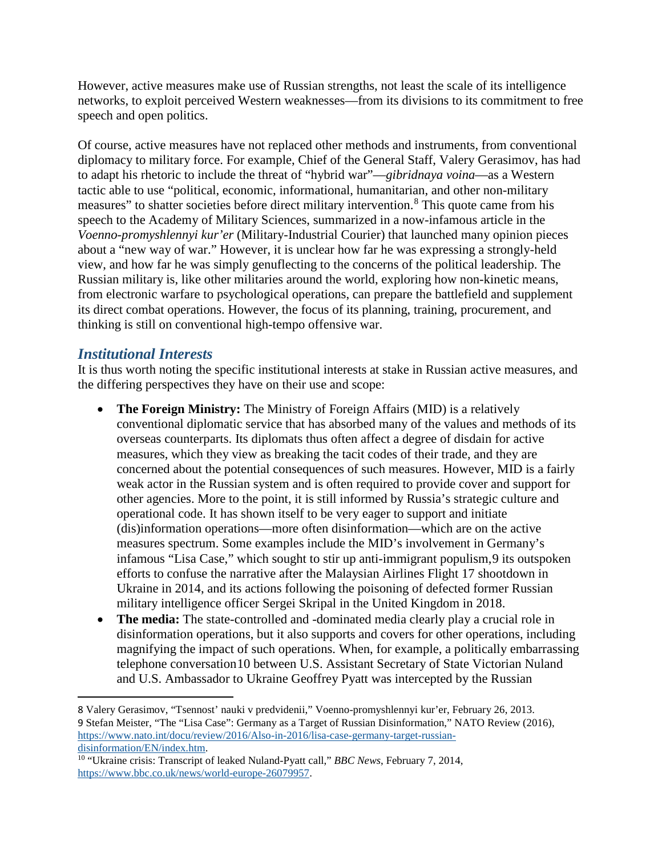However, active measures make use of Russian strengths, not least the scale of its intelligence networks, to exploit perceived Western weaknesses—from its divisions to its commitment to free speech and open politics.

Of course, active measures have not replaced other methods and instruments, from conventional diplomacy to military force. For example, Chief of the General Staff, Valery Gerasimov, has had to adapt his rhetoric to include the threat of "hybrid war"—*gibridnaya voina*—as a Western tactic able to use "political, economic, informational, humanitarian, and other non-military measures" to shatter societies before direct military intervention.[8](#page-3-0) This quote came from his speech to the Academy of Military Sciences, summarized in a now-infamous article in the *Voenno-promyshlennyi kur'er* (Military-Industrial Courier) that launched many opinion pieces about a "new way of war." However, it is unclear how far he was expressing a strongly-held view, and how far he was simply genuflecting to the concerns of the political leadership. The Russian military is, like other militaries around the world, exploring how non-kinetic means, from electronic warfare to psychological operations, can prepare the battlefield and supplement its direct combat operations. However, the focus of its planning, training, procurement, and thinking is still on conventional high-tempo offensive war.

# *Institutional Interests*

l

It is thus worth noting the specific institutional interests at stake in Russian active measures, and the differing perspectives they have on their use and scope:

- **The Foreign Ministry:** The Ministry of Foreign Affairs (MID) is a relatively conventional diplomatic service that has absorbed many of the values and methods of its overseas counterparts. Its diplomats thus often affect a degree of disdain for active measures, which they view as breaking the tacit codes of their trade, and they are concerned about the potential consequences of such measures. However, MID is a fairly weak actor in the Russian system and is often required to provide cover and support for other agencies. More to the point, it is still informed by Russia's strategic culture and operational code. It has shown itself to be very eager to support and initiate (dis)information operations—more often disinformation—which are on the active measures spectrum. Some examples include the MID's involvement in Germany's infamous "Lisa Case," which sought to stir up anti-immigrant populism,[9](#page-3-1) its outspoken efforts to confuse the narrative after the Malaysian Airlines Flight 17 shootdown in Ukraine in 2014, and its actions following the poisoning of defected former Russian military intelligence officer Sergei Skripal in the United Kingdom in 2018.
- **The media:** The state-controlled and -dominated media clearly play a crucial role in disinformation operations, but it also supports and covers for other operations, including magnifying the impact of such operations. When, for example, a politically embarrassing telephone conversation[10](#page-3-2) between U.S. Assistant Secretary of State Victorian Nuland and U.S. Ambassador to Ukraine Geoffrey Pyatt was intercepted by the Russian

<span id="page-3-1"></span><span id="page-3-0"></span><sup>8</sup> Valery Gerasimov, "Tsennost' nauki v predvidenii," Voenno-promyshlennyi kur'er, February 26, 2013. 9 Stefan Meister, "The "Lisa Case": Germany as a Target of Russian Disinformation," NATO Review (2016), [https://www.nato.int/docu/review/2016/Also-in-2016/lisa-case-germany-target-russian](https://www.nato.int/docu/review/2016/Also-in-2016/lisa-case-germany-target-russian-disinformation/EN/index.htm)[disinformation/EN/index.htm.](https://www.nato.int/docu/review/2016/Also-in-2016/lisa-case-germany-target-russian-disinformation/EN/index.htm)

<span id="page-3-2"></span><sup>10</sup> "Ukraine crisis: Transcript of leaked Nuland-Pyatt call," *BBC News*, February 7, 2014, [https://www.bbc.co.uk/news/world-europe-26079957.](https://www.bbc.co.uk/news/world-europe-26079957)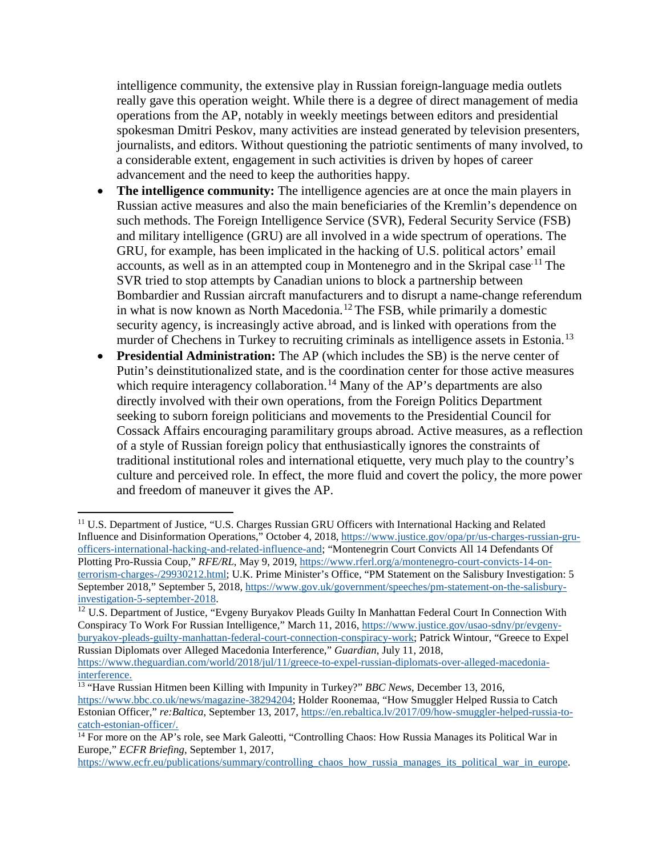intelligence community, the extensive play in Russian foreign-language media outlets really gave this operation weight. While there is a degree of direct management of media operations from the AP, notably in weekly meetings between editors and presidential spokesman Dmitri Peskov, many activities are instead generated by television presenters, journalists, and editors. Without questioning the patriotic sentiments of many involved, to a considerable extent, engagement in such activities is driven by hopes of career advancement and the need to keep the authorities happy.

- **The intelligence community:** The intelligence agencies are at once the main players in Russian active measures and also the main beneficiaries of the Kremlin's dependence on such methods. The Foreign Intelligence Service (SVR), Federal Security Service (FSB) and military intelligence (GRU) are all involved in a wide spectrum of operations. The GRU, for example, has been implicated in the hacking of U.S. political actors' email accounts, as well as in an attempted coup in Montenegro and in the Skripal case.<sup>[11](#page-4-0)</sup> The SVR tried to stop attempts by Canadian unions to block a partnership between Bombardier and Russian aircraft manufacturers and to disrupt a name-change referendum in what is now known as North Macedonia.<sup>[12](#page-4-1)</sup> The FSB, while primarily a domestic security agency, is increasingly active abroad, and is linked with operations from the murder of Chechens in Turkey to recruiting criminals as intelligence assets in Estonia.<sup>[13](#page-4-2)</sup>
- **Presidential Administration:** The AP (which includes the SB) is the nerve center of Putin's deinstitutionalized state, and is the coordination center for those active measures which require interagency collaboration.<sup>[14](#page-4-3)</sup> Many of the AP's departments are also directly involved with their own operations, from the Foreign Politics Department seeking to suborn foreign politicians and movements to the Presidential Council for Cossack Affairs encouraging paramilitary groups abroad. Active measures, as a reflection of a style of Russian foreign policy that enthusiastically ignores the constraints of traditional institutional roles and international etiquette, very much play to the country's culture and perceived role. In effect, the more fluid and covert the policy, the more power and freedom of maneuver it gives the AP.

 $\overline{a}$ 

<span id="page-4-0"></span><sup>&</sup>lt;sup>11</sup> U.S. Department of Justice, "U.S. Charges Russian GRU Officers with International Hacking and Related Influence and Disinformation Operations," October 4, 2018, [https://www.justice.gov/opa/pr/us-charges-russian-gru](https://www.justice.gov/opa/pr/us-charges-russian-gru-officers-international-hacking-and-related-influence-and)[officers-international-hacking-and-related-influence-and;](https://www.justice.gov/opa/pr/us-charges-russian-gru-officers-international-hacking-and-related-influence-and) "Montenegrin Court Convicts All 14 Defendants Of Plotting Pro-Russia Coup," *RFE/RL*, May 9, 2019, [https://www.rferl.org/a/montenegro-court-convicts-14-on](https://www.rferl.org/a/montenegro-court-convicts-14-on-terrorism-charges-/29930212.html)[terrorism-charges-/29930212.html;](https://www.rferl.org/a/montenegro-court-convicts-14-on-terrorism-charges-/29930212.html) U.K. Prime Minister's Office, "PM Statement on the Salisbury Investigation: 5 September 2018," September 5, 2018, [https://www.gov.uk/government/speeches/pm-statement-on-the-salisbury](https://www.gov.uk/government/speeches/pm-statement-on-the-salisbury-investigation-5-september-2018)[investigation-5-september-2018.](https://www.gov.uk/government/speeches/pm-statement-on-the-salisbury-investigation-5-september-2018)

<span id="page-4-1"></span><sup>&</sup>lt;sup>12</sup> U.S. Department of Justice, "Evgeny Buryakov Pleads Guilty In Manhattan Federal Court In Connection With Conspiracy To Work For Russian Intelligence," March 11, 2016, [https://www.justice.gov/usao-sdny/pr/evgeny](https://www.justice.gov/usao-sdny/pr/evgeny-buryakov-pleads-guilty-manhattan-federal-court-connection-conspiracy-work)[buryakov-pleads-guilty-manhattan-federal-court-connection-conspiracy-work;](https://www.justice.gov/usao-sdny/pr/evgeny-buryakov-pleads-guilty-manhattan-federal-court-connection-conspiracy-work) Patrick Wintour, "Greece to Expel Russian Diplomats over Alleged Macedonia Interference," *Guardian*, July 11, 2018,

[https://www.theguardian.com/world/2018/jul/11/greece-to-expel-russian-diplomats-over-alleged-macedonia](https://www.theguardian.com/world/2018/jul/11/greece-to-expel-russian-diplomats-over-alleged-macedonia-interference)[interference.](https://www.theguardian.com/world/2018/jul/11/greece-to-expel-russian-diplomats-over-alleged-macedonia-interference)

<span id="page-4-2"></span><sup>13</sup> "Have Russian Hitmen been Killing with Impunity in Turkey?" *BBC News*, December 13, 2016, [https://www.bbc.co.uk/news/magazine-38294204;](https://www.bbc.co.uk/news/magazine-38294204) Holder Roonemaa, "How Smuggler Helped Russia to Catch Estonian Officer," *re:Baltica*, September 13, 2017[, https://en.rebaltica.lv/2017/09/how-smuggler-helped-russia-to](https://en.rebaltica.lv/2017/09/how-smuggler-helped-russia-to-catch-estonian-officer/)[catch-estonian-officer/.](https://en.rebaltica.lv/2017/09/how-smuggler-helped-russia-to-catch-estonian-officer/)

<span id="page-4-3"></span> $14$  For more on the AP's role, see Mark Galeotti, "Controlling Chaos: How Russia Manages its Political War in Europe," *ECFR Briefing*, September 1, 2017,

[https://www.ecfr.eu/publications/summary/controlling\\_chaos\\_how\\_russia\\_manages\\_its\\_political\\_war\\_in\\_europe.](https://www.ecfr.eu/publications/summary/controlling_chaos_how_russia_manages_its_political_war_in_europe)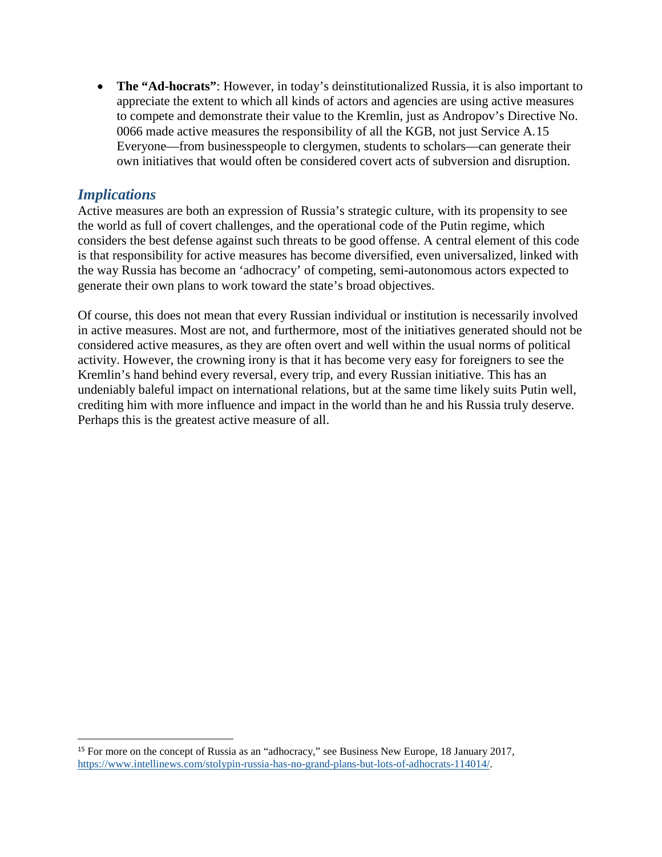• **The "Ad-hocrats"**: However, in today's deinstitutionalized Russia, it is also important to appreciate the extent to which all kinds of actors and agencies are using active measures to compete and demonstrate their value to the Kremlin, just as Andropov's Directive No. 0066 made active measures the responsibility of all the KGB, not just Service A.[15](#page-5-0) Everyone—from businesspeople to clergymen, students to scholars—can generate their own initiatives that would often be considered covert acts of subversion and disruption.

# *Implications*

Active measures are both an expression of Russia's strategic culture, with its propensity to see the world as full of covert challenges, and the operational code of the Putin regime, which considers the best defense against such threats to be good offense. A central element of this code is that responsibility for active measures has become diversified, even universalized, linked with the way Russia has become an 'adhocracy' of competing, semi-autonomous actors expected to generate their own plans to work toward the state's broad objectives.

Of course, this does not mean that every Russian individual or institution is necessarily involved in active measures. Most are not, and furthermore, most of the initiatives generated should not be considered active measures, as they are often overt and well within the usual norms of political activity. However, the crowning irony is that it has become very easy for foreigners to see the Kremlin's hand behind every reversal, every trip, and every Russian initiative. This has an undeniably baleful impact on international relations, but at the same time likely suits Putin well, crediting him with more influence and impact in the world than he and his Russia truly deserve. Perhaps this is the greatest active measure of all.

<span id="page-5-0"></span> <sup>15</sup> For more on the concept of Russia as an "adhocracy," see Business New Europe, 18 January 2017, [https://www.intellinews.com/stolypin-russia-has-no-grand-plans-but-lots-of-adhocrats-114014/.](https://www.intellinews.com/stolypin-russia-has-no-grand-plans-but-lots-of-adhocrats-114014/)